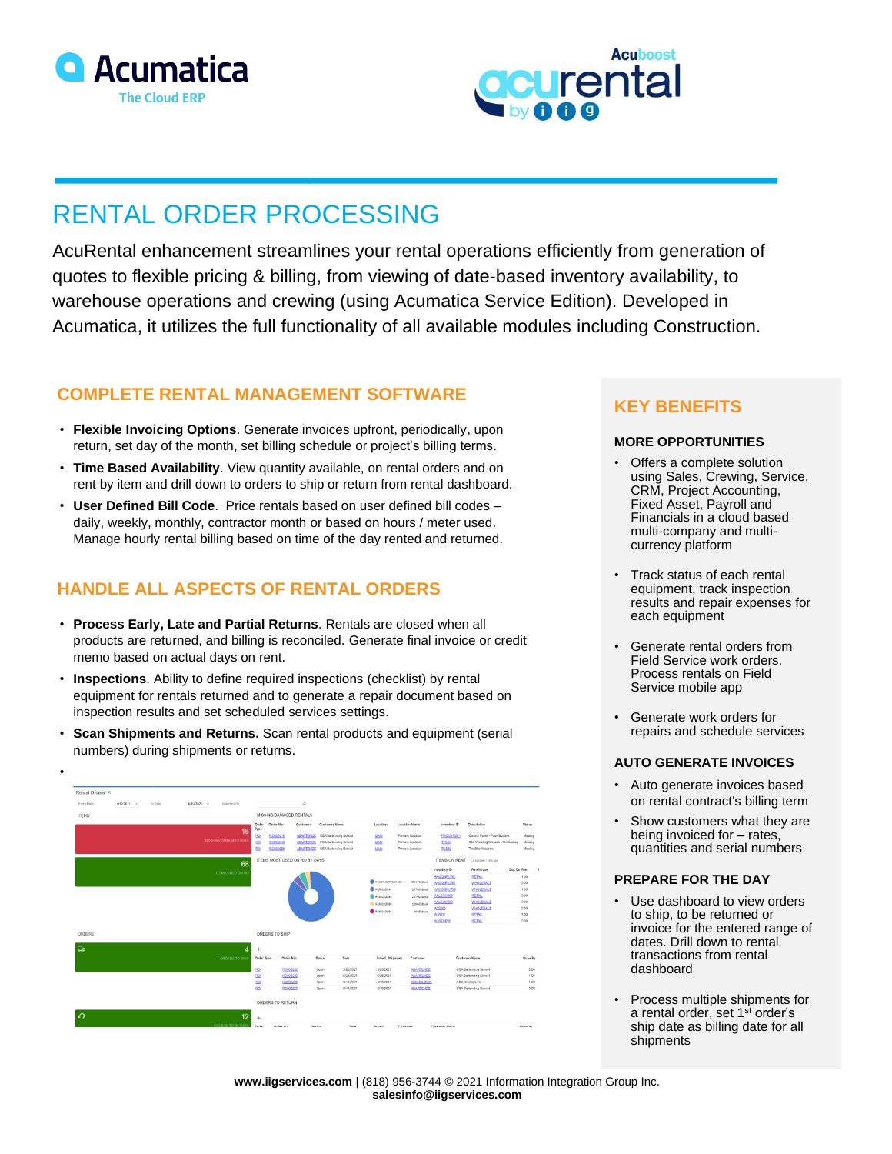



# RENTAL ORDER PROCESSING

AcuRental enhancement streamlines your rental operations efficiently from generation of quotes to flexible pricing & billing, from viewing of date-based inventory availability, to warehouse operations and crewing (using Acumatica Service Edition). Developed in Acumatica, it utilizes the full functionality of all available modules including Construction.

## **COMPLETE RENTAL MANAGEMENT SOFTWARE**

- **Flexible Invoicing Options**. Generate invoices upfront, periodically, upon return, set day of the month, set billing schedule or project's billing terms.
- **Time Based Availability**. View quantity available, on rental orders and on rent by item and drill down to orders to ship or return from rental dashboard.
- **User Defined Bill Code**.Price rentals based on user defined bill codes daily, weekly, monthly, contractor month or based on hours / meter used. Manage hourly rental billing based on time of the day rented and returned.

# **HANDLE ALL ASPECTS OF RENTAL ORDERS**

- **Process Early, Late and Partial Returns**. Rentals are closed when all products are returned, and billing is reconciled. Generate final invoice or credit memo based on actual days on rent.
- **Inspections**. Ability to define required inspections (checklist) by rental equipment for rentals returned and to generate a repair document based on inspection results and set scheduled services settings.
- **Scan Shipments and Returns.** Scan rental products and equipment (serial numbers) during shipments or returns.



## **KEY BENEFITS**

## **MORE OPPORTUNITIES**

- Offers a complete solution using Sales, Crewing, Service, CRM, Project Accounting, Fixed Asset, Payroll and Financials in a cloud based multi-company and multicurrency platform
- Track status of each rental equipment, track inspection results and repair expenses for each equipment
- Generate rental orders from Field Service work orders. Process rentals on Field Service mobile app
- Generate work orders for repairs and schedule services

## **AUTO GENERATE INVOICES**

- Auto generate invoices based on rental contract's billing term
- Show customers what they are being invoiced for – rates, quantities and serial numbers

## **PREPARE FOR THE DAY**

- Use dashboard to view orders to ship, to be returned or invoice for the entered range of dates. Drill down to rental transactions from rental dashboard
- Process multiple shipments for a rental order, set 1<sup>st</sup> order's ship date as billing date for all shipments